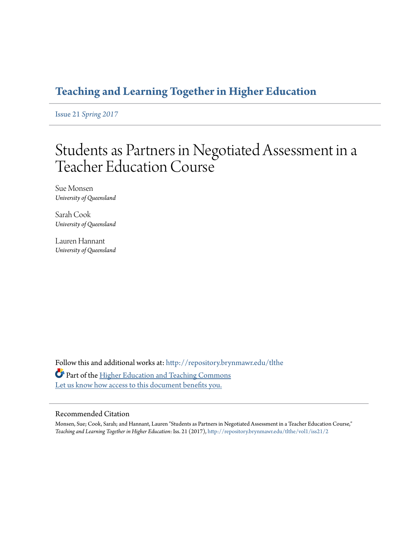# **[Teaching and Learning Together in Higher Education](http://repository.brynmawr.edu/tlthe?utm_source=repository.brynmawr.edu%2Ftlthe%2Fvol1%2Fiss21%2F2&utm_medium=PDF&utm_campaign=PDFCoverPages)**

Issue 21 *[Spring 2017](http://repository.brynmawr.edu/tlthe/vol1/iss21?utm_source=repository.brynmawr.edu%2Ftlthe%2Fvol1%2Fiss21%2F2&utm_medium=PDF&utm_campaign=PDFCoverPages)*

# Students as Partners in Negotiated Assessment in a Teacher Education Course

Sue Monsen *University of Queensland*

Sarah Cook *University of Queensland*

Lauren Hannant *University of Queensland*

Follow this and additional works at: [http://repository.brynmawr.edu/tlthe](http://repository.brynmawr.edu/tlthe?utm_source=repository.brynmawr.edu%2Ftlthe%2Fvol1%2Fiss21%2F2&utm_medium=PDF&utm_campaign=PDFCoverPages) Part of the [Higher Education and Teaching Commons](http://network.bepress.com/hgg/discipline/806?utm_source=repository.brynmawr.edu%2Ftlthe%2Fvol1%2Fiss21%2F2&utm_medium=PDF&utm_campaign=PDFCoverPages) [Let us know how access to this document benefits you.](http://repository.brynmawr.edu/open-access-feedback.html)

#### Recommended Citation

Monsen, Sue; Cook, Sarah; and Hannant, Lauren "Students as Partners in Negotiated Assessment in a Teacher Education Course," *Teaching and Learning Together in Higher Education*: Iss. 21 (2017), [http://repository.brynmawr.edu/tlthe/vol1/iss21/2](http://repository.brynmawr.edu/tlthe/vol1/iss21/2?utm_source=repository.brynmawr.edu%2Ftlthe%2Fvol1%2Fiss21%2F2&utm_medium=PDF&utm_campaign=PDFCoverPages)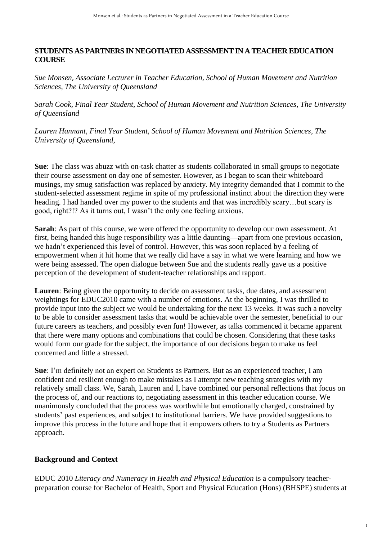# **STUDENTS AS PARTNERS IN NEGOTIATED ASSESSMENTIN A TEACHER EDUCATION COURSE**

*Sue Monsen*, *Associate Lecturer in Teacher Education*, *School of Human Movement and Nutrition Sciences, The University of Queensland*

*Sarah Cook, Final Year Student, School of Human Movement and Nutrition Sciences, The University of Queensland*

*Lauren Hannant, Final Year Student, School of Human Movement and Nutrition Sciences, The University of Queensland,*

**Sue**: The class was abuzz with on-task chatter as students collaborated in small groups to negotiate their course assessment on day one of semester. However, as I began to scan their whiteboard musings, my smug satisfaction was replaced by anxiety. My integrity demanded that I commit to the student-selected assessment regime in spite of my professional instinct about the direction they were heading. I had handed over my power to the students and that was incredibly scary…but scary is good, right?!? As it turns out, I wasn't the only one feeling anxious.

**Sarah**: As part of this course, we were offered the opportunity to develop our own assessment. At first, being handed this huge responsibility was a little daunting—apart from one previous occasion, we hadn't experienced this level of control. However, this was soon replaced by a feeling of empowerment when it hit home that we really did have a say in what we were learning and how we were being assessed. The open dialogue between Sue and the students really gave us a positive perception of the development of student-teacher relationships and rapport.

**Lauren**: Being given the opportunity to decide on assessment tasks, due dates, and assessment weightings for EDUC2010 came with a number of emotions. At the beginning, I was thrilled to provide input into the subject we would be undertaking for the next 13 weeks. It was such a novelty to be able to consider assessment tasks that would be achievable over the semester, beneficial to our future careers as teachers, and possibly even fun! However, as talks commenced it became apparent that there were many options and combinations that could be chosen. Considering that these tasks would form our grade for the subject, the importance of our decisions began to make us feel concerned and little a stressed.

**Sue**: I'm definitely not an expert on Students as Partners. But as an experienced teacher, I am confident and resilient enough to make mistakes as I attempt new teaching strategies with my relatively small class. We, Sarah, Lauren and I, have combined our personal reflections that focus on the process of, and our reactions to, negotiating assessment in this teacher education course. We unanimously concluded that the process was worthwhile but emotionally charged, constrained by students' past experiences, and subject to institutional barriers. We have provided suggestions to improve this process in the future and hope that it empowers others to try a Students as Partners approach.

# **Background and Context**

EDUC 2010 *Literacy and Numeracy in Health and Physical Education* is a compulsory teacherpreparation course for Bachelor of Health, Sport and Physical Education (Hons) (BHSPE) students at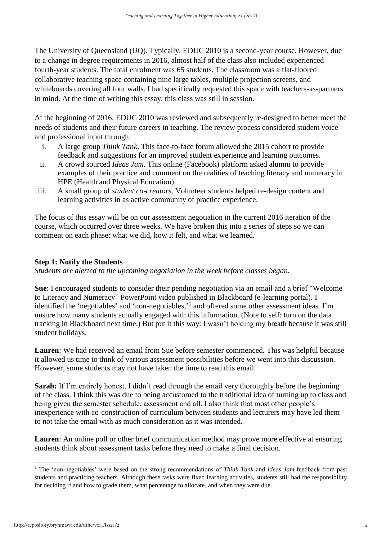The University of Queensland (UQ). Typically, EDUC 2010 is a second-year course. However, due to a change in degree requirements in 2016, almost half of the class also included experienced fourth-year students. The total enrolment was 65 students. The classroom was a flat-floored collaborative teaching space containing nine large tables, multiple projection screens, and whiteboards covering all four walls. I had specifically requested this space with teachers-as-partners in mind. At the time of writing this essay, this class was still in session.

At the beginning of 2016, EDUC 2010 was reviewed and subsequently re-designed to better meet the needs of students and their future careers in teaching. The review process considered student voice and professional input through:

- i. A large group *Think Tank*. This face-to-face forum allowed the 2015 cohort to provide feedback and suggestions for an improved student experience and learning outcomes.
- ii. A crowd sourced *Ideas Jam*. This online (Facebook) platform asked alumni to provide examples of their practice and comment on the realities of teaching literacy and numeracy in HPE (Health and Physical Education).
- iii. A small group of *student co-creators*. Volunteer students helped re-design content and learning activities in as active community of practice experience.

The focus of this essay will be on our assessment negotiation in the current 2016 iteration of the course, which occurred over three weeks. We have broken this into a series of steps so we can comment on each phase: what we did, how it felt, and what we learned.

#### **Step 1: Notify the Students**

*Students are alerted to the upcoming negotiation in the week before classes began.*

**Sue**: I encouraged students to consider their pending negotiation via an email and a brief "Welcome to Literacy and Numeracy" PowerPoint video published in Blackboard (e-learning portal). I identified the 'negotiables' and 'non-negotiables,'<sup>1</sup> and offered some other assessment ideas. I'm unsure how many students actually engaged with this information. (Note to self: turn on the data tracking in Blackboard next time.) But put it this way: I wasn't holding my breath because it was still student holidays.

**Lauren**: We had received an email from Sue before semester commenced. This was helpful because it allowed us time to think of various assessment possibilities before we went into this discussion. However, some students may not have taken the time to read this email.

**Sarah:** If I'm entirely honest, I didn't read through the email very thoroughly before the beginning of the class. I think this was due to being accustomed to the traditional idea of turning up to class and being given the semester schedule, assessment and all. I also think that most other people's inexperience with co-construction of curriculum between students and lecturers may have led them to not take the email with as much consideration as it was intended.

**Lauren**: An online poll or other brief communication method may prove more effective at ensuring students think about assessment tasks before they need to make a final decision.

**<sup>.</sup>** <sup>1</sup> The 'non-negotiables' were based on the strong recommendations of *Think Tank* and *Ideas Jam* feedback from past students and practicing teachers. Although these tasks were fixed learning activities, students still had the responsibility for deciding if and how to grade them, what percentage to allocate, and when they were due.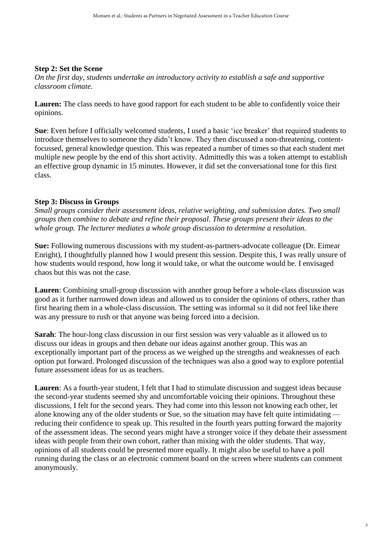#### **Step 2: Set the Scene**

*On the first day, students undertake an introductory activity to establish a safe and supportive classroom climate.*

**Lauren:** The class needs to have good rapport for each student to be able to confidently voice their opinions.

**Sue**: Even before I officially welcomed students, I used a basic 'ice breaker' that required students to introduce themselves to someone they didn't know. They then discussed a non-threatening, contentfocussed, general knowledge question. This was repeated a number of times so that each student met multiple new people by the end of this short activity. Admittedly this was a token attempt to establish an effective group dynamic in 15 minutes. However, it did set the conversational tone for this first class.

#### **Step 3: Discuss in Groups**

*Small groups consider their assessment ideas, relative weighting, and submission dates. Two small groups then combine to debate and refine their proposal. These groups present their ideas to the whole group. The lecturer mediates a whole group discussion to determine a resolution.*

**Sue:** Following numerous discussions with my student-as-partners-advocate colleague (Dr. Eimear Enright), I thoughtfully planned how I would present this session. Despite this, I was really unsure of how students would respond, how long it would take, or what the outcome would be. I envisaged chaos but this was not the case.

**Lauren**: Combining small-group discussion with another group before a whole-class discussion was good as it further narrowed down ideas and allowed us to consider the opinions of others, rather than first hearing them in a whole-class discussion. The setting was informal so it did not feel like there was any pressure to rush or that anyone was being forced into a decision.

**Sarah**: The hour-long class discussion in our first session was very valuable as it allowed us to discuss our ideas in groups and then debate our ideas against another group. This was an exceptionally important part of the process as we weighed up the strengths and weaknesses of each option put forward. Prolonged discussion of the techniques was also a good way to explore potential future assessment ideas for us as teachers.

**Lauren**: As a fourth-year student, I felt that I had to stimulate discussion and suggest ideas because the second-year students seemed shy and uncomfortable voicing their opinions. Throughout these discussions, I felt for the second years. They had come into this lesson not knowing each other, let alone knowing any of the older students or Sue, so the situation may have felt quite intimidating reducing their confidence to speak up. This resulted in the fourth years putting forward the majority of the assessment ideas. The second years might have a stronger voice if they debate their assessment ideas with people from their own cohort, rather than mixing with the older students. That way, opinions of all students could be presented more equally. It might also be useful to have a poll running during the class or an electronic comment board on the screen where students can comment anonymously.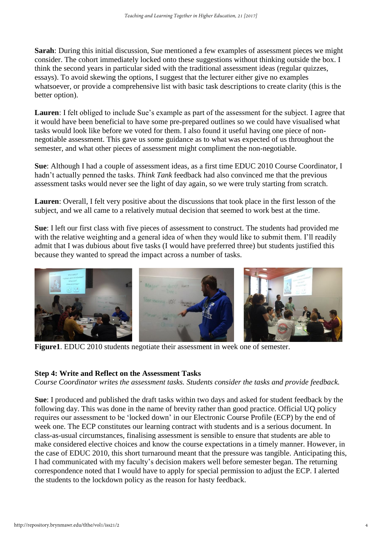**Sarah**: During this initial discussion, Sue mentioned a few examples of assessment pieces we might consider. The cohort immediately locked onto these suggestions without thinking outside the box. I think the second years in particular sided with the traditional assessment ideas (regular quizzes, essays). To avoid skewing the options, I suggest that the lecturer either give no examples whatsoever, or provide a comprehensive list with basic task descriptions to create clarity (this is the better option).

**Lauren**: I felt obliged to include Sue's example as part of the assessment for the subject. I agree that it would have been beneficial to have some pre-prepared outlines so we could have visualised what tasks would look like before we voted for them. I also found it useful having one piece of nonnegotiable assessment. This gave us some guidance as to what was expected of us throughout the semester, and what other pieces of assessment might compliment the non-negotiable.

**Sue**: Although I had a couple of assessment ideas, as a first time EDUC 2010 Course Coordinator, I hadn't actually penned the tasks. *Think Tank* feedback had also convinced me that the previous assessment tasks would never see the light of day again, so we were truly starting from scratch.

**Lauren**: Overall, I felt very positive about the discussions that took place in the first lesson of the subject, and we all came to a relatively mutual decision that seemed to work best at the time.

**Sue**: I left our first class with five pieces of assessment to construct. The students had provided me with the relative weighting and a general idea of when they would like to submit them. I'll readily admit that I was dubious about five tasks (I would have preferred three) but students justified this because they wanted to spread the impact across a number of tasks.



**Figure1**. EDUC 2010 students negotiate their assessment in week one of semester.

#### **Step 4: Write and Reflect on the Assessment Tasks**

*Course Coordinator writes the assessment tasks. Students consider the tasks and provide feedback.*

**Sue**: I produced and published the draft tasks within two days and asked for student feedback by the following day. This was done in the name of brevity rather than good practice. Official UQ policy requires our assessment to be 'locked down' in our Electronic Course Profile (ECP) by the end of week one. The ECP constitutes our learning contract with students and is a serious document. In class-as-usual circumstances, finalising assessment is sensible to ensure that students are able to make considered elective choices and know the course expectations in a timely manner. However, in the case of EDUC 2010, this short turnaround meant that the pressure was tangible. Anticipating this, I had communicated with my faculty's decision makers well before semester began. The returning correspondence noted that I would have to apply for special permission to adjust the ECP. I alerted the students to the lockdown policy as the reason for hasty feedback.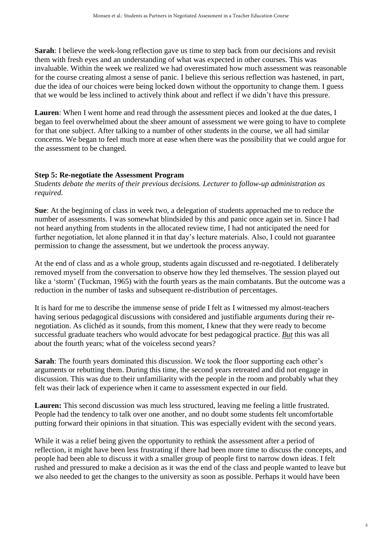**Sarah**: I believe the week-long reflection gave us time to step back from our decisions and revisit them with fresh eyes and an understanding of what was expected in other courses. This was invaluable. Within the week we realized we had overestimated how much assessment was reasonable for the course creating almost a sense of panic. I believe this serious reflection was hastened, in part, due the idea of our choices were being locked down without the opportunity to change them. I guess that we would be less inclined to actively think about and reflect if we didn't have this pressure.

**Lauren**: When I went home and read through the assessment pieces and looked at the due dates, I began to feel overwhelmed about the sheer amount of assessment we were going to have to complete for that one subject. After talking to a number of other students in the course, we all had similar concerns. We began to feel much more at ease when there was the possibility that we could argue for the assessment to be changed.

# **Step 5: Re-negotiate the Assessment Program**

*Students debate the merits of their previous decisions. Lecturer to follow-up administration as required.*

**Sue**: At the beginning of class in week two, a delegation of students approached me to reduce the number of assessments. I was somewhat blindsided by this and panic once again set in. Since I had not heard anything from students in the allocated review time, I had not anticipated the need for further negotiation, let alone planned it in that day's lecture materials. Also, I could not guarantee permission to change the assessment, but we undertook the process anyway.

At the end of class and as a whole group, students again discussed and re-negotiated. I deliberately removed myself from the conversation to observe how they led themselves. The session played out like a 'storm' (Tuckman, 1965) with the fourth years as the main combatants. But the outcome was a reduction in the number of tasks and subsequent re-distribution of percentages.

It is hard for me to describe the immense sense of pride I felt as I witnessed my almost-teachers having serious pedagogical discussions with considered and justifiable arguments during their renegotiation. As clichéd as it sounds, from this moment, I knew that they were ready to become successful graduate teachers who would advocate for best pedagogical practice. *But* this was all about the fourth years; what of the voiceless second years?

**Sarah**: The fourth years dominated this discussion. We took the floor supporting each other's arguments or rebutting them. During this time, the second years retreated and did not engage in discussion. This was due to their unfamiliarity with the people in the room and probably what they felt was their lack of experience when it came to assessment expected in our field.

**Lauren:** This second discussion was much less structured, leaving me feeling a little frustrated. People had the tendency to talk over one another, and no doubt some students felt uncomfortable putting forward their opinions in that situation. This was especially evident with the second years.

While it was a relief being given the opportunity to rethink the assessment after a period of reflection, it might have been less frustrating if there had been more time to discuss the concepts, and people had been able to discuss it with a smaller group of people first to narrow down ideas. I felt rushed and pressured to make a decision as it was the end of the class and people wanted to leave but we also needed to get the changes to the university as soon as possible. Perhaps it would have been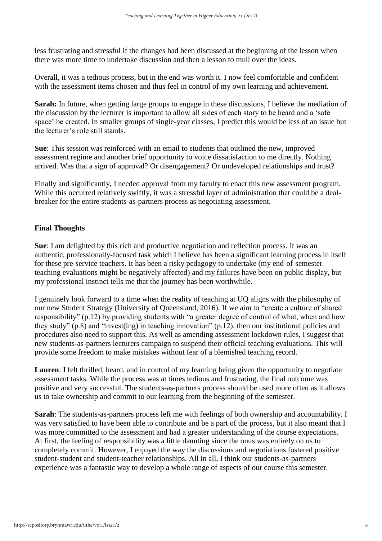less frustrating and stressful if the changes had been discussed at the beginning of the lesson when there was more time to undertake discussion and then a lesson to mull over the ideas.

Overall, it was a tedious process, but in the end was worth it. I now feel comfortable and confident with the assessment items chosen and thus feel in control of my own learning and achievement.

**Sarah:** In future, when getting large groups to engage in these discussions, I believe the mediation of the discussion by the lecturer is important to allow all sides of each story to be heard and a 'safe space' be created. In smaller groups of single-year classes, I predict this would be less of an issue but the lecturer's role still stands.

**Sue**: This session was reinforced with an email to students that outlined the new, improved assessment regime and another brief opportunity to voice dissatisfaction to me directly. Nothing arrived. Was that a sign of approval? Or disengagement? Or undeveloped relationships and trust?

Finally and significantly, I needed approval from my faculty to enact this new assessment program. While this occurred relatively swiftly, it was a stressful layer of administration that could be a dealbreaker for the entire students-as-partners process as negotiating assessment.

#### **Final Thoughts**

**Sue**: I am delighted by this rich and productive negotiation and reflection process. It was an authentic, professionally-focused task which I believe has been a significant learning process in itself for these pre-service teachers. It has been a risky pedagogy to undertake (my end-of-semester teaching evaluations might be negatively affected) and my failures have been on public display, but my professional instinct tells me that the journey has been worthwhile.

I genuinely look forward to a time when the reality of teaching at UQ aligns with the philosophy of our new Student Strategy (University of Queensland, 2016). If we aim to "create a culture of shared responsibility" (p.12) by providing students with "a greater degree of control of what, when and how they study" (p.8) and "invest(ing) in teaching innovation" (p.12), then our institutional policies and procedures also need to support this. As well as amending assessment lockdown rules, I suggest that new students-as-partners lecturers campaign to suspend their official teaching evaluations. This will provide some freedom to make mistakes without fear of a blemished teaching record.

Lauren: I felt thrilled, heard, and in control of my learning being given the opportunity to negotiate assessment tasks. While the process was at times tedious and frustrating, the final outcome was positive and very successful. The students-as-partners process should be used more often as it allows us to take ownership and commit to our learning from the beginning of the semester.

**Sarah**: The students-as-partners process left me with feelings of both ownership and accountability. I was very satisfied to have been able to contribute and be a part of the process, but it also meant that I was more committed to the assessment and had a greater understanding of the course expectations. At first, the feeling of responsibility was a little daunting since the onus was entirely on us to completely commit. However, I enjoyed the way the discussions and negotiations fostered positive student-student and student-teacher relationships. All in all, I think our students-as-partners experience was a fantastic way to develop a whole range of aspects of our course this semester.